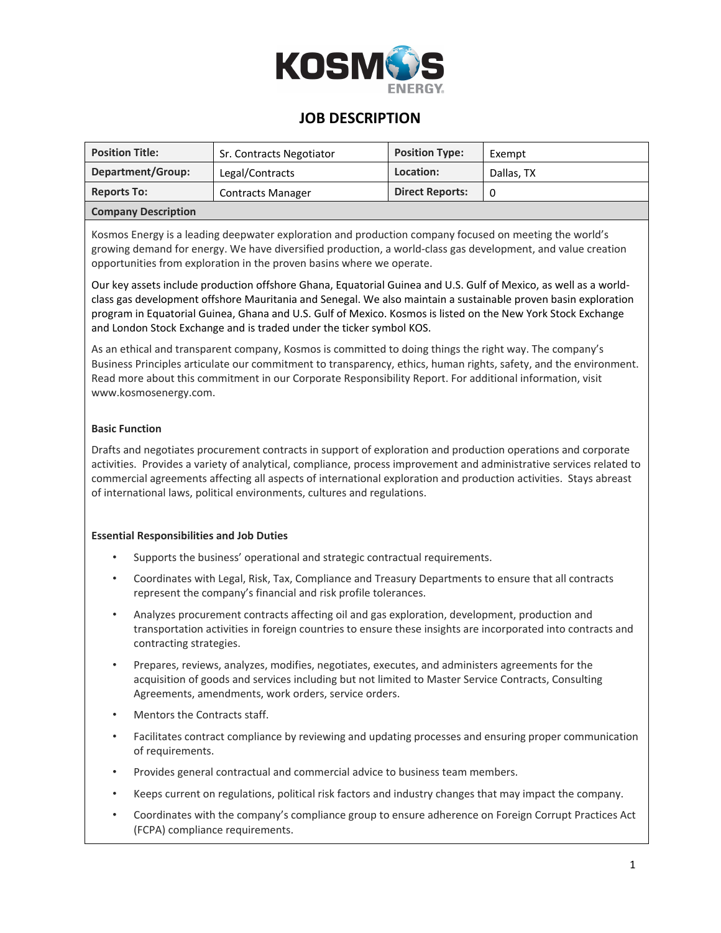

### **JOB DESCRIPTION**

| <b>Position Title:</b>     | Sr. Contracts Negotiator | <b>Position Type:</b>  | Exempt     |  |
|----------------------------|--------------------------|------------------------|------------|--|
| Department/Group:          | Legal/Contracts          | Location:              | Dallas, TX |  |
| <b>Reports To:</b>         | <b>Contracts Manager</b> | <b>Direct Reports:</b> | 0          |  |
| <b>Company Description</b> |                          |                        |            |  |

Kosmos Energy is a leading deepwater exploration and production company focused on meeting the world's growing demand for energy. We have diversified production, a world-class gas development, and value creation opportunities from exploration in the proven basins where we operate.

Our key assets include production offshore Ghana, Equatorial Guinea and U.S. Gulf of Mexico, as well as a worldclass gas development offshore Mauritania and Senegal. We also maintain a sustainable proven basin exploration program in Equatorial Guinea, Ghana and U.S. Gulf of Mexico. Kosmos is listed on the New York Stock Exchange and London Stock Exchange and is traded under the ticker symbol KOS.

As an ethical and transparent company, Kosmos is committed to doing things the right way. The company's Business Principles articulate our commitment to transparency, ethics, human rights, safety, and the environment. Read more about this commitment in our Corporate Responsibility Report. For additional information, visit www.kosmosenergy.com.

### **Basic Function**

Drafts and negotiates procurement contracts in support of exploration and production operations and corporate activities. Provides a variety of analytical, compliance, process improvement and administrative services related to commercial agreements affecting all aspects of international exploration and production activities. Stays abreast of international laws, political environments, cultures and regulations.

### **Essential Responsibilities and Job Duties**

- Supports the business' operational and strategic contractual requirements.
- Coordinates with Legal, Risk, Tax, Compliance and Treasury Departments to ensure that all contracts represent the company's financial and risk profile tolerances.
- Analyzes procurement contracts affecting oil and gas exploration, development, production and transportation activities in foreign countries to ensure these insights are incorporated into contracts and contracting strategies.
- Prepares, reviews, analyzes, modifies, negotiates, executes, and administers agreements for the acquisition of goods and services including but not limited to Master Service Contracts, Consulting Agreements, amendments, work orders, service orders.
- Mentors the Contracts staff.
- Facilitates contract compliance by reviewing and updating processes and ensuring proper communication of requirements.
- Provides general contractual and commercial advice to business team members.
- Keeps current on regulations, political risk factors and industry changes that may impact the company.
- Coordinates with the company's compliance group to ensure adherence on Foreign Corrupt Practices Act (FCPA) compliance requirements.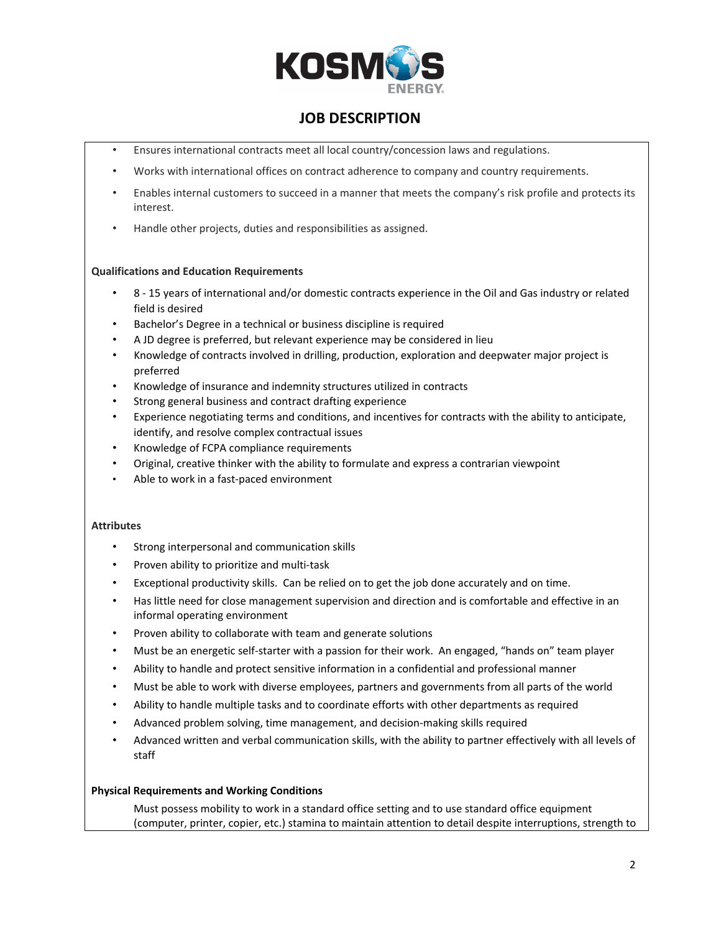

# **JOB DESCRIPTION**

- Ensures international contracts meet all local country/concession laws and regulations.
- Works with international offices on contract adherence to company and country requirements.
- Enables internal customers to succeed in a manner that meets the company's risk profile and protects its interest.
- Handle other projects, duties and responsibilities as assigned.

#### **Qualifications and Education Requirements**

- 8 15 years of international and/or domestic contracts experience in the Oil and Gas industry or related field is desired
- Bachelor's Degree in a technical or business discipline is required
- A JD degree is preferred, but relevant experience may be considered in lieu
- Knowledge of contracts involved in drilling, production, exploration and deepwater major project is preferred
- Knowledge of insurance and indemnity structures utilized in contracts
- Strong general business and contract drafting experience
- Experience negotiating terms and conditions, and incentives for contracts with the ability to anticipate, identify, and resolve complex contractual issues
- Knowledge of FCPA compliance requirements
- Original, creative thinker with the ability to formulate and express a contrarian viewpoint
- Able to work in a fast-paced environment

#### **Attributes**

- Strong interpersonal and communication skills
- Proven ability to prioritize and multi-task
- Exceptional productivity skills. Can be relied on to get the job done accurately and on time.
- Has little need for close management supervision and direction and is comfortable and effective in an informal operating environment
- Proven ability to collaborate with team and generate solutions
- Must be an energetic self-starter with a passion for their work. An engaged, "hands on" team player
- Ability to handle and protect sensitive information in a confidential and professional manner
- Must be able to work with diverse employees, partners and governments from all parts of the world
- Ability to handle multiple tasks and to coordinate efforts with other departments as required
- Advanced problem solving, time management, and decision-making skills required
- Advanced written and verbal communication skills, with the ability to partner effectively with all levels of staff

#### **Physical Requirements and Working Conditions**

Must possess mobility to work in a standard office setting and to use standard office equipment (computer, printer, copier, etc.) stamina to maintain attention to detail despite interruptions, strength to